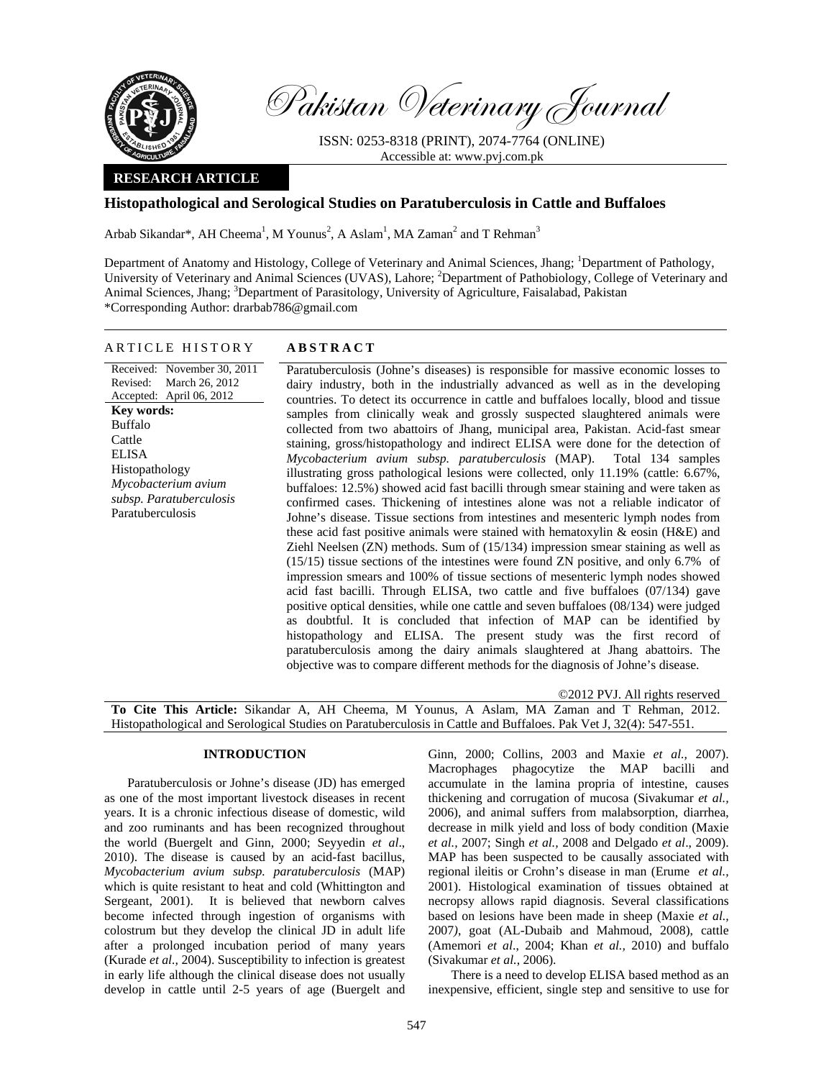

Pakistan Veterinary Journal

ISSN: 0253-8318 (PRINT), 2074-7764 (ONLINE) Accessible at: www.pvj.com.pk

### **RESEARCH ARTICLE**

# **Histopathological and Serological Studies on Paratuberculosis in Cattle and Buffaloes**

Arbab Sikandar\*, AH Cheema<sup>1</sup>, M Younus<sup>2</sup>, A Aslam<sup>1</sup>, MA Zaman<sup>2</sup> and T Rehman<sup>3</sup>

Department of Anatomy and Histology, College of Veterinary and Animal Sciences, Jhang; <sup>1</sup>Department of Pathology, University of Veterinary and Animal Sciences (UVAS), Lahore; <sup>2</sup>Department of Pathobiology, College of Veterinary and Animal Sciences, Jhang; <sup>3</sup>Department of Parasitology, University of Agriculture, Faisalabad, Pakistan \*Corresponding Author: drarbab786@gmail.com

# ARTICLE HISTORY **ABSTRACT**

Received: November 30, 2011 Revised: Accepted: April 06, 2012 March 26, 2012 **Key words:**  Buffalo Cattle ELISA Histopathology *Mycobacterium avium subsp. Paratuberculosis*  Paratuberculosis

Paratuberculosis (Johne's diseases) is responsible for massive economic losses to dairy industry, both in the industrially advanced as well as in the developing countries. To detect its occurrence in cattle and buffaloes locally, blood and tissue samples from clinically weak and grossly suspected slaughtered animals were collected from two abattoirs of Jhang, municipal area, Pakistan. Acid-fast smear staining, gross/histopathology and indirect ELISA were done for the detection of *Mycobacterium avium subsp. paratuberculosis* (MAP). Total 134 samples illustrating gross pathological lesions were collected, only 11.19% (cattle: 6.67%, buffaloes: 12.5%) showed acid fast bacilli through smear staining and were taken as confirmed cases. Thickening of intestines alone was not a reliable indicator of Johne's disease. Tissue sections from intestines and mesenteric lymph nodes from these acid fast positive animals were stained with hematoxylin & eosin (H&E) and Ziehl Neelsen (ZN) methods. Sum of (15/134) impression smear staining as well as (15/15) tissue sections of the intestines were found ZN positive, and only 6.7% of impression smears and 100% of tissue sections of mesenteric lymph nodes showed acid fast bacilli. Through ELISA, two cattle and five buffaloes (07/134) gave positive optical densities, while one cattle and seven buffaloes (08/134) were judged as doubtful. It is concluded that infection of MAP can be identified by histopathology and ELISA. The present study was the first record of paratuberculosis among the dairy animals slaughtered at Jhang abattoirs. The objective was to compare different methods for the diagnosis of Johne's disease.

©2012 PVJ. All rights reserved

**To Cite This Article:** Sikandar A, AH Cheema, M Younus, A Aslam, MA Zaman and T Rehman, 2012. Histopathological and Serological Studies on Paratuberculosis in Cattle and Buffaloes. Pak Vet J, 32(4): 547-551.

### **INTRODUCTION**

Paratuberculosis or Johne's disease (JD) has emerged as one of the most important livestock diseases in recent years. It is a chronic infectious disease of domestic, wild and zoo ruminants and has been recognized throughout the world (Buergelt and Ginn, 2000; Seyyedin *et al*., 2010). The disease is caused by an acid-fast bacillus, *Mycobacterium avium subsp. paratuberculosis* (MAP) which is quite resistant to heat and cold (Whittington and Sergeant, 2001). It is believed that newborn calves become infected through ingestion of organisms with colostrum but they develop the clinical JD in adult life after a prolonged incubation period of many years (Kurade *et al.,* 2004). Susceptibility to infection is greatest in early life although the clinical disease does not usually develop in cattle until 2-5 years of age (Buergelt and Ginn, 2000; Collins, 2003 and Maxie *et al.,* 2007). Macrophages phagocytize the MAP bacilli and accumulate in the lamina propria of intestine, causes thickening and corrugation of mucosa (Sivakumar *et al.,*  2006), and animal suffers from malabsorption, diarrhea, decrease in milk yield and loss of body condition (Maxie *et al.,* 2007; Singh *et al.,* 2008 and Delgado *et al*., 2009). MAP has been suspected to be causally associated with regional ileitis or Crohn's disease in man (Erume *et al.,* 2001). Histological examination of tissues obtained at necropsy allows rapid diagnosis. Several classifications based on lesions have been made in sheep (Maxie *et al.,* 2007*)*, goat (AL-Dubaib and Mahmoud, 2008), cattle (Amemori *et al*., 2004; Khan *et al.,* 2010) and buffalo (Sivakumar *et al.*, 2006).

There is a need to develop ELISA based method as an inexpensive, efficient, single step and sensitive to use for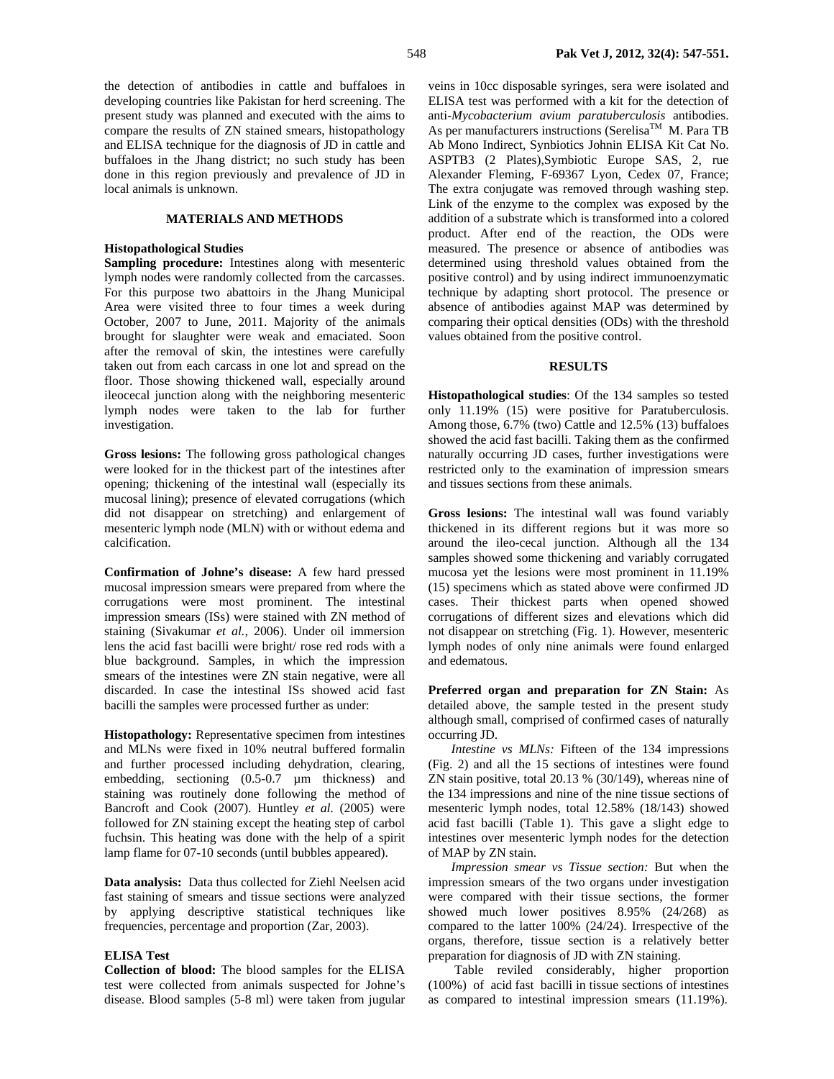the detection of antibodies in cattle and buffaloes in developing countries like Pakistan for herd screening. The present study was planned and executed with the aims to compare the results of ZN stained smears, histopathology and ELISA technique for the diagnosis of JD in cattle and buffaloes in the Jhang district; no such study has been done in this region previously and prevalence of JD in local animals is unknown.

# **MATERIALS AND METHODS**

### **Histopathological Studies**

**Sampling procedure:** Intestines along with mesenteric lymph nodes were randomly collected from the carcasses. For this purpose two abattoirs in the Jhang Municipal Area were visited three to four times a week during October, 2007 to June, 2011. Majority of the animals brought for slaughter were weak and emaciated. Soon after the removal of skin, the intestines were carefully taken out from each carcass in one lot and spread on the floor. Those showing thickened wall, especially around ileocecal junction along with the neighboring mesenteric lymph nodes were taken to the lab for further investigation.

**Gross lesions:** The following gross pathological changes were looked for in the thickest part of the intestines after opening; thickening of the intestinal wall (especially its mucosal lining); presence of elevated corrugations (which did not disappear on stretching) and enlargement of mesenteric lymph node (MLN) with or without edema and calcification.

**Confirmation of Johne's disease:** A few hard pressed mucosal impression smears were prepared from where the corrugations were most prominent. The intestinal impression smears (ISs) were stained with ZN method of staining (Sivakumar *et al.,* 2006). Under oil immersion lens the acid fast bacilli were bright/ rose red rods with a blue background. Samples, in which the impression smears of the intestines were ZN stain negative, were all discarded. In case the intestinal ISs showed acid fast bacilli the samples were processed further as under:

**Histopathology:** Representative specimen from intestines and MLNs were fixed in 10% neutral buffered formalin and further processed including dehydration, clearing, embedding, sectioning (0.5-0.7  $\mu$ m thickness) and staining was routinely done following the method of Bancroft and Cook (2007). Huntley *et al.* (2005) were followed for ZN staining except the heating step of carbol fuchsin. This heating was done with the help of a spirit lamp flame for 07-10 seconds (until bubbles appeared).

**Data analysis:** Data thus collected for Ziehl Neelsen acid fast staining of smears and tissue sections were analyzed by applying descriptive statistical techniques like frequencies, percentage and proportion (Zar, 2003).

### **ELISA Test**

**Collection of blood:** The blood samples for the ELISA test were collected from animals suspected for Johne's disease. Blood samples (5-8 ml) were taken from jugular veins in 10cc disposable syringes, sera were isolated and ELISA test was performed with a kit for the detection of anti-*Mycobacterium avium paratuberculosis* antibodies. As per manufacturers instructions (Serelisa<sup>TM</sup> M. Para TB Ab Mono Indirect, Synbiotics Johnin ELISA Kit Cat No. ASPTB3 (2 Plates),Symbiotic Europe SAS, 2, rue Alexander Fleming, F-69367 Lyon, Cedex 07, France; The extra conjugate was removed through washing step. Link of the enzyme to the complex was exposed by the addition of a substrate which is transformed into a colored product. After end of the reaction, the ODs were measured. The presence or absence of antibodies was determined using threshold values obtained from the positive control) and by using indirect immunoenzymatic technique by adapting short protocol. The presence or absence of antibodies against MAP was determined by comparing their optical densities (ODs) with the threshold values obtained from the positive control.

#### **RESULTS**

**Histopathological studies**: Of the 134 samples so tested only 11.19% (15) were positive for Paratuberculosis. Among those, 6.7% (two) Cattle and 12.5% (13) buffaloes showed the acid fast bacilli. Taking them as the confirmed naturally occurring JD cases, further investigations were restricted only to the examination of impression smears and tissues sections from these animals.

**Gross lesions:** The intestinal wall was found variably thickened in its different regions but it was more so around the ileo-cecal junction. Although all the 134 samples showed some thickening and variably corrugated mucosa yet the lesions were most prominent in 11.19% (15) specimens which as stated above were confirmed JD cases. Their thickest parts when opened showed corrugations of different sizes and elevations which did not disappear on stretching (Fig. 1). However, mesenteric lymph nodes of only nine animals were found enlarged and edematous.

**Preferred organ and preparation for ZN Stain:** As detailed above, the sample tested in the present study although small, comprised of confirmed cases of naturally occurring JD.

*Intestine vs MLNs:* Fifteen of the 134 impressions (Fig. 2) and all the 15 sections of intestines were found ZN stain positive, total 20.13 % (30/149), whereas nine of the 134 impressions and nine of the nine tissue sections of mesenteric lymph nodes, total 12.58% (18/143) showed acid fast bacilli (Table 1). This gave a slight edge to intestines over mesenteric lymph nodes for the detection of MAP by ZN stain.

*Impression smear vs Tissue section:* But when the impression smears of the two organs under investigation were compared with their tissue sections, the former showed much lower positives 8.95% (24/268) as compared to the latter 100% (24/24). Irrespective of the organs, therefore, tissue section is a relatively better preparation for diagnosis of JD with ZN staining.

 Table reviled considerably, higher proportion (100%) of acid fast bacilli in tissue sections of intestines as compared to intestinal impression smears (11.19%).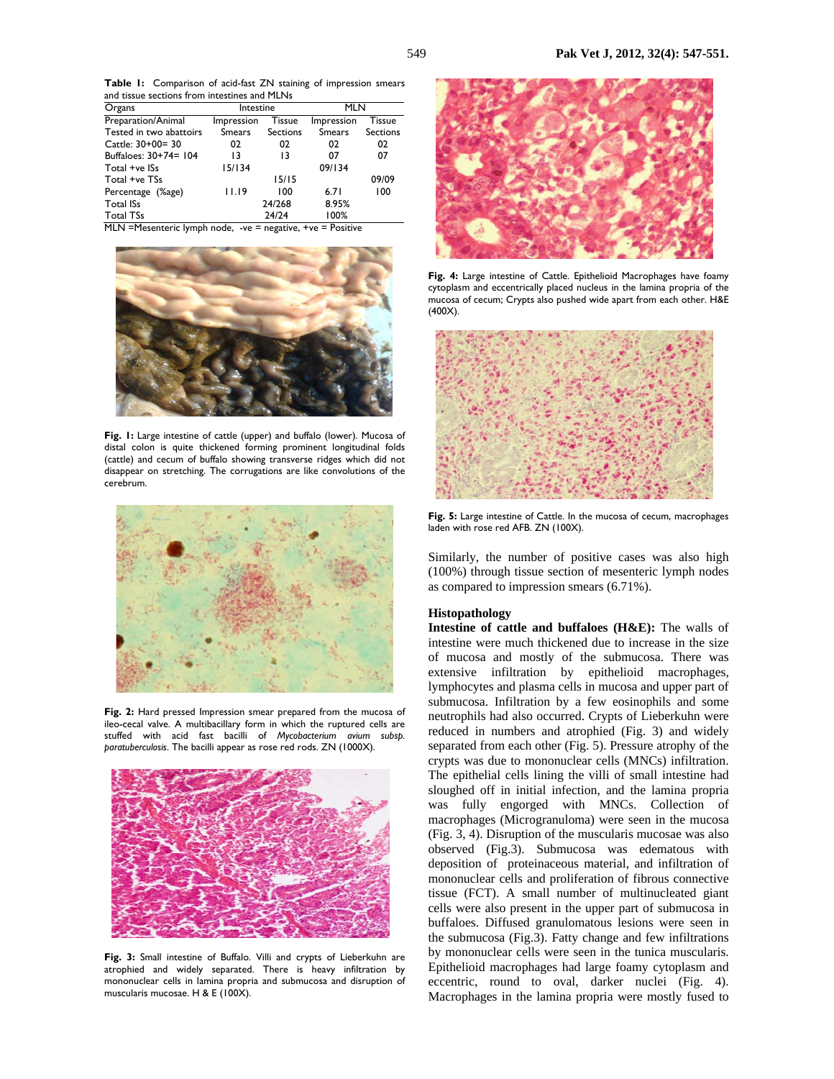**Table 1:** Comparison of acid-fast ZN staining of impression smears and tissue sections from intestines and MLNs

| Organs                  | Intestine     |                 | MLN           |                 |
|-------------------------|---------------|-----------------|---------------|-----------------|
| Preparation/Animal      | Impression    | Tissue          | Impression    | Tissue          |
| Tested in two abattoirs | <b>Smears</b> | <b>Sections</b> | <b>Smears</b> | <b>Sections</b> |
| Cattle: 30+00= 30       | 02            | 02              | 02            | 02              |
| Buffaloes: 30+74= 104   | 13            | 13              | 07            | 07              |
| Total +ve ISs           | 15/134        |                 | 09/134        |                 |
| Total +ve TSs           |               | 15/15           |               | 09/09           |
| Percentage (%age)       | 11.19         | 100             | 6.71          | 100             |
| <b>Total ISs</b>        |               | 24/268          | 8.95%         |                 |
| <b>Total TSs</b>        |               | 24/24           | 100%          |                 |

MLN =Mesenteric lymph node, -ve = negative, +ve = Positive



**Fig. 1:** Large intestine of cattle (upper) and buffalo (lower). Mucosa of distal colon is quite thickened forming prominent longitudinal folds (cattle) and cecum of buffalo showing transverse ridges which did not disappear on stretching. The corrugations are like convolutions of the cerebrum.



Fig. 2: Hard pressed Impression smear prepared from the mucosa of ileo-cecal valve. A multibacillary form in which the ruptured cells are stuffed with acid fast bacilli of *Mycobacterium avium subsp. paratuberculosis*. The bacilli appear as rose red rods. ZN (1000X).



**Fig. 3:** Small intestine of Buffalo. Villi and crypts of Lieberkuhn are atrophied and widely separated. There is heavy infiltration by mononuclear cells in lamina propria and submucosa and disruption of muscularis mucosae. H & E (100X).



**Fig. 4:** Large intestine of Cattle. Epithelioid Macrophages have foamy cytoplasm and eccentrically placed nucleus in the lamina propria of the mucosa of cecum; Crypts also pushed wide apart from each other. H&E (400X).



**Fig. 5:** Large intestine of Cattle. In the mucosa of cecum, macrophages laden with rose red AFB. ZN (100X).

Similarly, the number of positive cases was also high (100%) through tissue section of mesenteric lymph nodes as compared to impression smears (6.71%).

#### **Histopathology**

**Intestine of cattle and buffaloes (H&E):** The walls of intestine were much thickened due to increase in the size of mucosa and mostly of the submucosa. There was extensive infiltration by epithelioid macrophages, lymphocytes and plasma cells in mucosa and upper part of submucosa. Infiltration by a few eosinophils and some neutrophils had also occurred. Crypts of Lieberkuhn were reduced in numbers and atrophied (Fig. 3) and widely separated from each other (Fig. 5). Pressure atrophy of the crypts was due to mononuclear cells (MNCs) infiltration. The epithelial cells lining the villi of small intestine had sloughed off in initial infection, and the lamina propria was fully engorged with MNCs. Collection of macrophages (Microgranuloma) were seen in the mucosa (Fig. 3, 4). Disruption of the muscularis mucosae was also observed (Fig.3). Submucosa was edematous with deposition of proteinaceous material, and infiltration of mononuclear cells and proliferation of fibrous connective tissue (FCT). A small number of multinucleated giant cells were also present in the upper part of submucosa in buffaloes. Diffused granulomatous lesions were seen in the submucosa (Fig.3). Fatty change and few infiltrations by mononuclear cells were seen in the tunica muscularis. Epithelioid macrophages had large foamy cytoplasm and eccentric, round to oval, darker nuclei (Fig. 4). Macrophages in the lamina propria were mostly fused to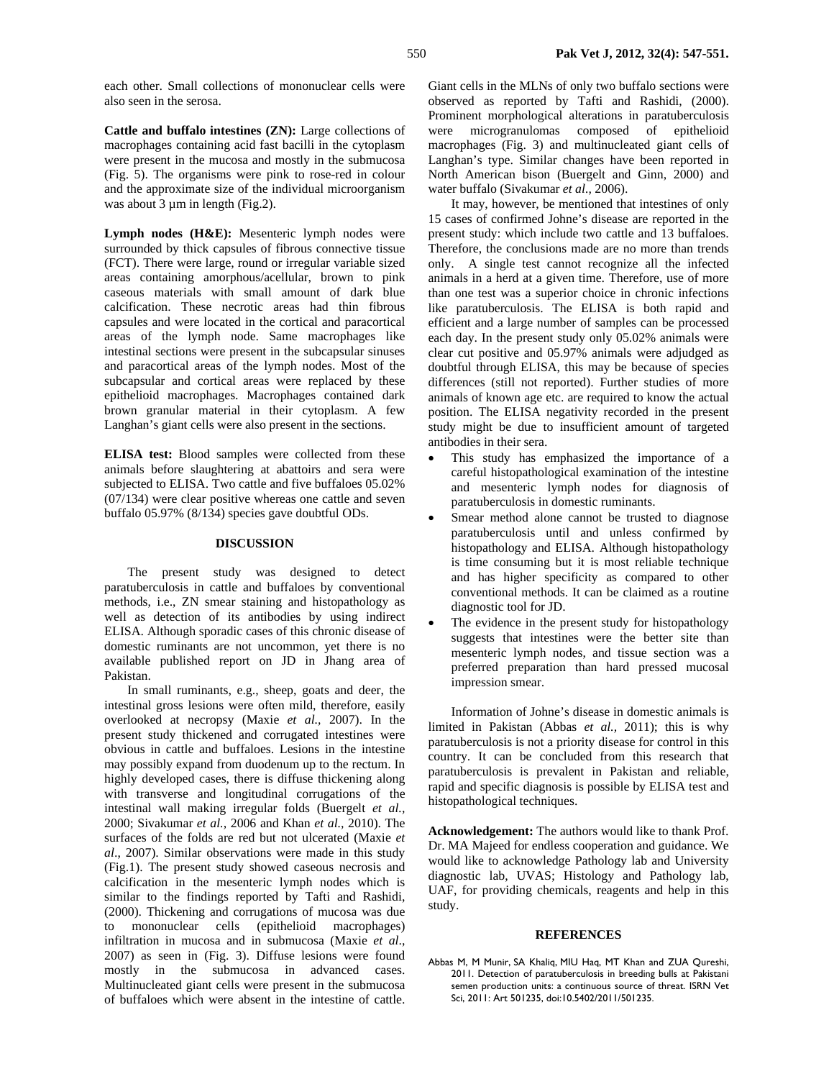each other. Small collections of mononuclear cells were also seen in the serosa.

**Cattle and buffalo intestines (ZN):** Large collections of macrophages containing acid fast bacilli in the cytoplasm were present in the mucosa and mostly in the submucosa (Fig. 5). The organisms were pink to rose-red in colour and the approximate size of the individual microorganism was about 3  $\mu$ m in length (Fig.2).

Lymph nodes (H&E): Mesenteric lymph nodes were surrounded by thick capsules of fibrous connective tissue (FCT). There were large, round or irregular variable sized areas containing amorphous/acellular, brown to pink caseous materials with small amount of dark blue calcification. These necrotic areas had thin fibrous capsules and were located in the cortical and paracortical areas of the lymph node. Same macrophages like intestinal sections were present in the subcapsular sinuses and paracortical areas of the lymph nodes. Most of the subcapsular and cortical areas were replaced by these epithelioid macrophages. Macrophages contained dark brown granular material in their cytoplasm. A few Langhan's giant cells were also present in the sections.

**ELISA test:** Blood samples were collected from these animals before slaughtering at abattoirs and sera were subjected to ELISA. Two cattle and five buffaloes 05.02% (07/134) were clear positive whereas one cattle and seven buffalo 05.97% (8/134) species gave doubtful ODs.

#### **DISCUSSION**

The present study was designed to detect paratuberculosis in cattle and buffaloes by conventional methods, i.e., ZN smear staining and histopathology as well as detection of its antibodies by using indirect ELISA. Although sporadic cases of this chronic disease of domestic ruminants are not uncommon, yet there is no available published report on JD in Jhang area of Pakistan.

In small ruminants, e.g., sheep, goats and deer, the intestinal gross lesions were often mild, therefore, easily overlooked at necropsy (Maxie *et al.,* 2007). In the present study thickened and corrugated intestines were obvious in cattle and buffaloes. Lesions in the intestine may possibly expand from duodenum up to the rectum. In highly developed cases, there is diffuse thickening along with transverse and longitudinal corrugations of the intestinal wall making irregular folds (Buergelt *et al.,*  2000; Sivakumar *et al.,* 2006 and Khan *et al.,* 2010). The surfaces of the folds are red but not ulcerated (Maxie *et al*., 2007). Similar observations were made in this study (Fig.1). The present study showed caseous necrosis and calcification in the mesenteric lymph nodes which is similar to the findings reported by Tafti and Rashidi, (2000). Thickening and corrugations of mucosa was due to mononuclear cells (epithelioid macrophages) infiltration in mucosa and in submucosa (Maxie *et al*., 2007) as seen in (Fig. 3). Diffuse lesions were found mostly in the submucosa in advanced cases. Multinucleated giant cells were present in the submucosa of buffaloes which were absent in the intestine of cattle.

Giant cells in the MLNs of only two buffalo sections were observed as reported by Tafti and Rashidi, (2000). Prominent morphological alterations in paratuberculosis were microgranulomas composed of epithelioid macrophages (Fig. 3) and multinucleated giant cells of Langhan's type. Similar changes have been reported in North American bison (Buergelt and Ginn, 2000) and water buffalo (Sivakumar *et al.,* 2006).

It may, however, be mentioned that intestines of only 15 cases of confirmed Johne's disease are reported in the present study: which include two cattle and 13 buffaloes. Therefore, the conclusions made are no more than trends only. A single test cannot recognize all the infected animals in a herd at a given time. Therefore, use of more than one test was a superior choice in chronic infections like paratuberculosis. The ELISA is both rapid and efficient and a large number of samples can be processed each day. In the present study only 05.02% animals were clear cut positive and 05.97% animals were adjudged as doubtful through ELISA, this may be because of species differences (still not reported). Further studies of more animals of known age etc. are required to know the actual position. The ELISA negativity recorded in the present study might be due to insufficient amount of targeted antibodies in their sera.

- This study has emphasized the importance of a careful histopathological examination of the intestine and mesenteric lymph nodes for diagnosis of paratuberculosis in domestic ruminants.
- Smear method alone cannot be trusted to diagnose paratuberculosis until and unless confirmed by histopathology and ELISA. Although histopathology is time consuming but it is most reliable technique and has higher specificity as compared to other conventional methods. It can be claimed as a routine diagnostic tool for JD.
- The evidence in the present study for histopathology suggests that intestines were the better site than mesenteric lymph nodes, and tissue section was a preferred preparation than hard pressed mucosal impression smear.

Information of Johne's disease in domestic animals is limited in Pakistan (Abbas *et al.,* 2011); this is why paratuberculosis is not a priority disease for control in this country. It can be concluded from this research that paratuberculosis is prevalent in Pakistan and reliable, rapid and specific diagnosis is possible by ELISA test and histopathological techniques.

**Acknowledgement:** The authors would like to thank Prof. Dr. MA Majeed for endless cooperation and guidance. We would like to acknowledge Pathology lab and University diagnostic lab, UVAS; Histology and Pathology lab, UAF, for providing chemicals, reagents and help in this study.

#### **REFERENCES**

Abbas M, M Munir, SA Khaliq, MIU Haq, MT Khan and ZUA Qureshi, 2011. Detection of paratuberculosis in breeding bulls at Pakistani semen production units: a continuous source of threat. ISRN Vet Sci, 2011: Art 501235, doi:10.5402/2011/501235.